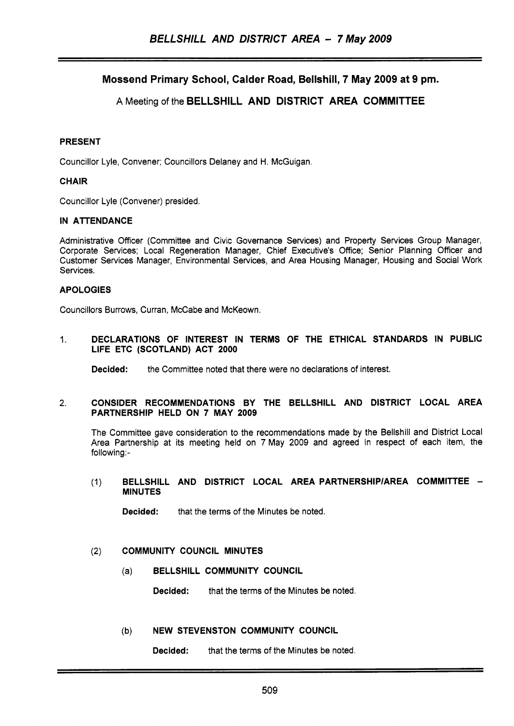# Mossend Primary School, Calder Road, Bellshill, 7 May 2009 at 9 pm.

# A Meeting of the BELLSHILL AND DISTRICT AREA COMMITTEE

# PRESENT

Councillor Lyle, Convener; Councillors Delaney and H. McGuigan.

# **CHAIR**

Councillor Lyle (Convener) presided.

# IN ATENDANCE

Administrative Officer (Committee and Civic Governance Services) and Property Services Group Manager, Corporate Services; Local Regeneration Manager, Chief Executive's Office; Senior Planning Officer and Customer Services Manager, Environmental Services, and Area Housing Manager, Housing and Social Work Services.

# APOLOGIES

Councillors Burrows, Curran, McCabe and McKeown.

1. DECLARATIONS OF INTEREST IN TERMS OF THE ETHICAL STANDARDS IN PUBLIC LIFE ETC (SCOTLAND) ACT 2000

Decided: the Committee noted that there were no declarations of interest.

#### 2. CONSIDER RECOMMENDATIONS BY THE BELLSHILL AND DISTRICT LOCAL AREA PARTNERSHIP HELD ON 7 MAY 2009

The Committee gave consideration to the recommendations made by the Bellshill and District Local Area Partnership at its meeting held on 7 May 2009 and agreed in respect of each item, the following:-

(1) BELLSHILL AND DISTRICT LOCAL AREA PARTNERSHIP/AREA COMMITTEE -MINUTES

Decided: that the terms of the Minutes be noted.

# (2) COMMUNITY COUNCIL MINUTES

(a) BELLSHILL COMMUNITY COUNCIL

Decided: that the terms of the Minutes be noted.

# (b) NEW STEVENSTON COMMUNITY COUNCIL

**Decided:** that the terms of the Minutes be noted.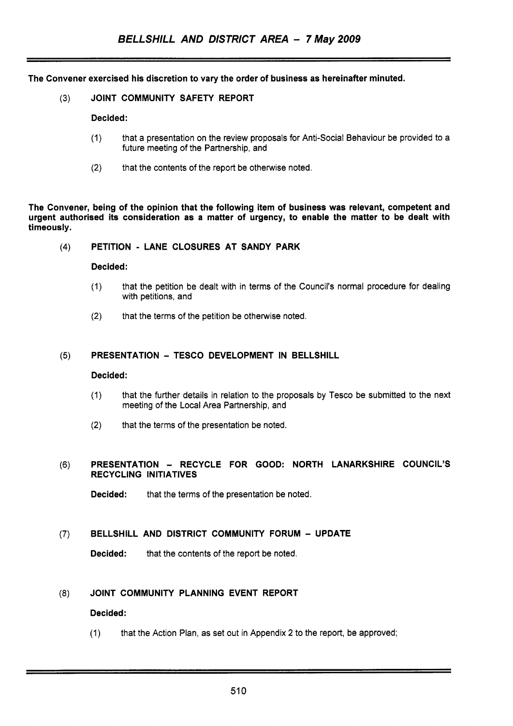The Convener exercised his discretion to vary the order of business as hereinafter minuted.

(3) JOINT COMMUNITY SAFETY REPORT

#### Decided:

- (1) that a presentation on the review proposals for Anti-Social Behaviour be provided to a future meeting of the Partnership, and
- (2) that the contents of the report be otherwise noted.

The Convener, being of the opinion that the following item of business was relevant, competent and urgent authorised its consideration as a matter of urgency, to enable the matter to be dealt with timeously.

# **(4)** PETITION - LANE CLOSURES AT SANDY PARK

#### Decided:

- (1) that the petition be dealt with in terms of the Council's normal procedure for dealing with petitions, and
- (2) that the terms of the petition be otherwise noted.

# **(5)** PRESENTATION - TESCO DEVELOPMENT IN BELLSHILL

#### Decided:

- (1) that the further details in relation to the proposals by Tesco be submitted to the next meeting of the Local Area Partnership, and
- (2) that the terms of the presentation be noted.

# (6) PRESENTATION - RECYCLE FOR GOOD: NORTH LANARKSHIRE COUNCIL'S RECYCLING INITIATIVES

Decided: that the terms of the presentation be noted.

# **(7)** BELLSHILL AND DISTRICT COMMUNITY FORUM - UPDATE

Decided: that the contents of the report be noted.

# **(8)** JOINT COMMUNITY PLANNING EVENT REPORT

# Decided:

(1) that the Action Plan, as set out in Appendix **2** to the report, be approved;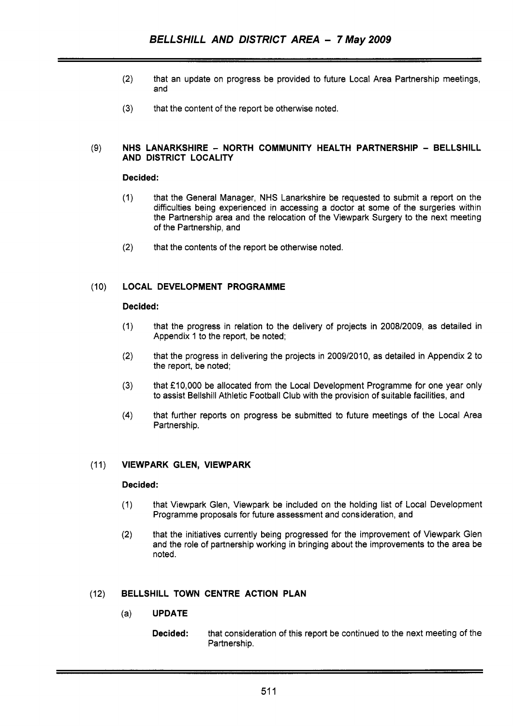- (2) that an update on progress be provided to future Local Area Partnership meetings, and
- **(3)** that the content of the report be otherwise noted.

#### (9) **NHS LANARKSHIRE** - **NORTH COMMUNITY HEALTH PARTNERSHIP** - **BELLSHILL AND DISTRICT LOCALITY**

# **Decided:**

- (1) that the General Manager, NHS Lanarkshire be requested to submit a report on the difficulties being experienced in accessing a doctor at some of the surgeries within the Partnership area and the relocation of the Viewpark Surgery to the next meeting of the Partnership, and
- (2) that the contents of the report be otherwise noted.

# (10) **LOCAL DEVELOPMENT PROGRAMME**

#### **Decided:**

- (1) that the progress in relation to the delivery of projects in 2008/2009, as detailed in Appendix 1 to the report, be noted;
- (2) that the progress in delivering the projects in 2009/2010, as detailed in Appendix **2** to the report, be noted;
- (3) that £10,000 be allocated from the Local Development Programme for one year only to assist Bellshill Athletic Football Club with the provision of suitable facilities, and
- **(4)** that further reports on progress be submitted to future meetings of the Local Area Partnership.

# (1 1) **VIEWPARK GLEN, VIEWPARK**

# **Decided:**

- (1) that Viewpark Glen, Viewpark be included on the holding list of Local Development Programme proposals for future assessment and cons ideration, and
- (2) that the initiatives currently being progressed for the improvement of Viewpark Glen and the role of partnership working in bringing about the improvements to the area be noted.

# (12) **BELLSHILL TOWN CENTRE ACTION PLAN**

- (a) **UPDATE** 
	- **Decided:** that consideration of this report be continued to the next meeting of the Partnership.